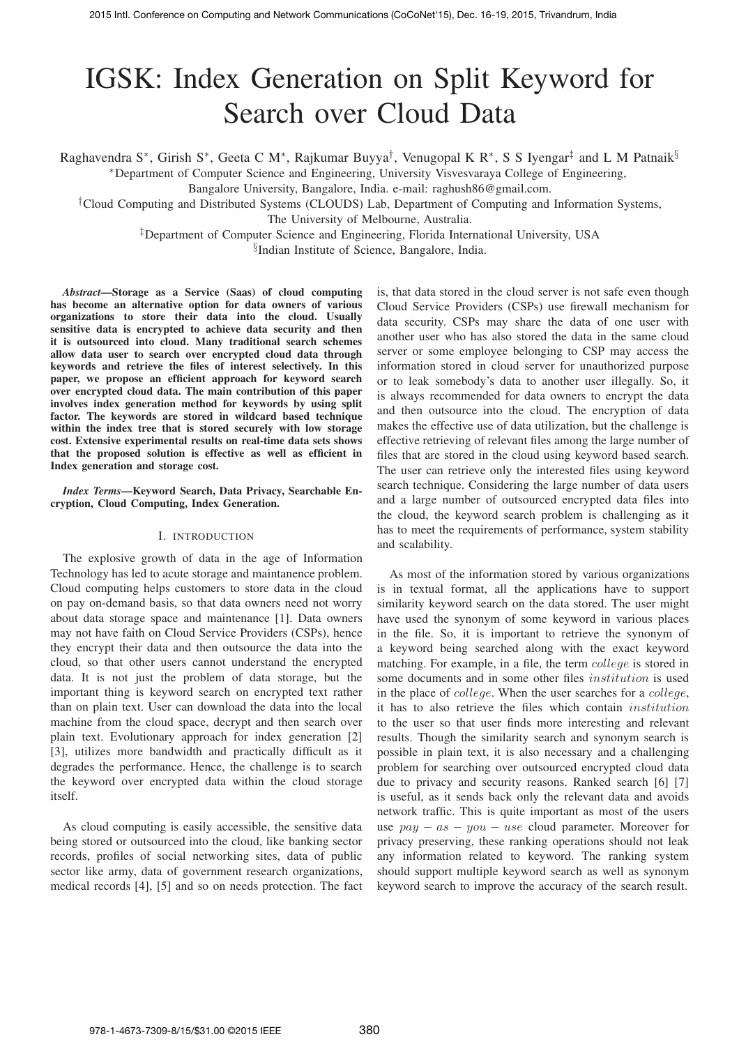# IGSK: Index Generation on Split Keyword for Search over Cloud Data

Raghavendra S<sup>∗</sup>, Girish S<sup>∗</sup>, Geeta C M<sup>∗</sup>, Rajkumar Buyya<sup>†</sup>, Venugopal K R<sup>∗</sup>, S S Iyengar<sup>‡</sup> and L M Patnaik§

∗Department of Computer Science and Engineering, University Visvesvaraya College of Engineering,

Bangalore University, Bangalore, India. e-mail: raghush86@gmail.com.

†Cloud Computing and Distributed Systems (CLOUDS) Lab, Department of Computing and Information Systems, The University of Melbourne, Australia.

‡Department of Computer Science and Engineering, Florida International University, USA

§Indian Institute of Science, Bangalore, India.

*Abstract***—Storage as a Service (Saas) of cloud computing has become an alternative option for data owners of various organizations to store their data into the cloud. Usually sensitive data is encrypted to achieve data security and then it is outsourced into cloud. Many traditional search schemes allow data user to search over encrypted cloud data through keywords and retrieve the files of interest selectively. In this paper, we propose an efficient approach for keyword search over encrypted cloud data. The main contribution of this paper involves index generation method for keywords by using split factor. The keywords are stored in wildcard based technique within the index tree that is stored securely with low storage cost. Extensive experimental results on real-time data sets shows that the proposed solution is effective as well as efficient in Index generation and storage cost.**

*Index Terms***—Keyword Search, Data Privacy, Searchable Encryption, Cloud Computing, Index Generation.**

## I. INTRODUCTION

The explosive growth of data in the age of Information Technology has led to acute storage and maintanence problem. Cloud computing helps customers to store data in the cloud on pay on-demand basis, so that data owners need not worry about data storage space and maintenance [1]. Data owners may not have faith on Cloud Service Providers (CSPs), hence they encrypt their data and then outsource the data into the cloud, so that other users cannot understand the encrypted data. It is not just the problem of data storage, but the important thing is keyword search on encrypted text rather than on plain text. User can download the data into the local machine from the cloud space, decrypt and then search over plain text. Evolutionary approach for index generation [2] [3], utilizes more bandwidth and practically difficult as it degrades the performance. Hence, the challenge is to search the keyword over encrypted data within the cloud storage itself.

As cloud computing is easily accessible, the sensitive data being stored or outsourced into the cloud, like banking sector records, profiles of social networking sites, data of public sector like army, data of government research organizations, medical records [4], [5] and so on needs protection. The fact is, that data stored in the cloud server is not safe even though Cloud Service Providers (CSPs) use firewall mechanism for data security. CSPs may share the data of one user with another user who has also stored the data in the same cloud server or some employee belonging to CSP may access the information stored in cloud server for unauthorized purpose or to leak somebody's data to another user illegally. So, it is always recommended for data owners to encrypt the data and then outsource into the cloud. The encryption of data makes the effective use of data utilization, but the challenge is effective retrieving of relevant files among the large number of files that are stored in the cloud using keyword based search. The user can retrieve only the interested files using keyword search technique. Considering the large number of data users and a large number of outsourced encrypted data files into the cloud, the keyword search problem is challenging as it has to meet the requirements of performance, system stability and scalability.

As most of the information stored by various organizations is in textual format, all the applications have to support similarity keyword search on the data stored. The user might have used the synonym of some keyword in various places in the file. So, it is important to retrieve the synonym of a keyword being searched along with the exact keyword matching. For example, in a file, the term *college* is stored in some documents and in some other files *institution* is used in the place of *college*. When the user searches for a *college*, it has to also retrieve the files which contain *institution* to the user so that user finds more interesting and relevant results. Though the similarity search and synonym search is possible in plain text, it is also necessary and a challenging problem for searching over outsourced encrypted cloud data due to privacy and security reasons. Ranked search [6] [7] is useful, as it sends back only the relevant data and avoids network traffic. This is quite important as most of the users use *pay* − *as* − *you* − *use* cloud parameter. Moreover for privacy preserving, these ranking operations should not leak any information related to keyword. The ranking system should support multiple keyword search as well as synonym keyword search to improve the accuracy of the search result.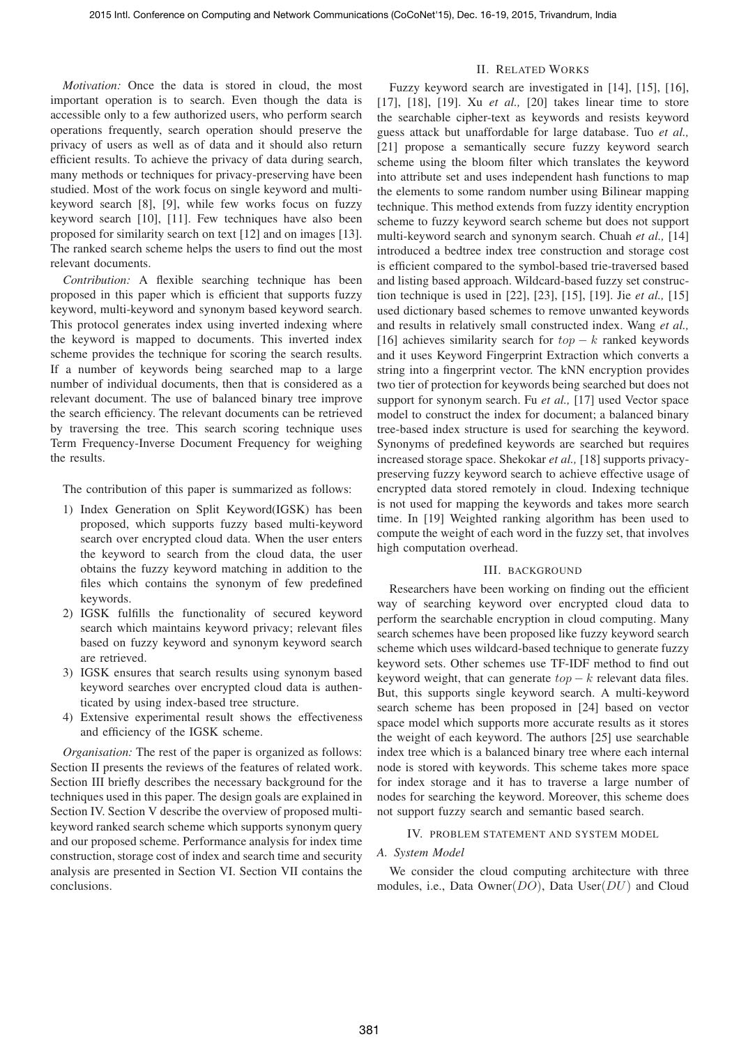*Motivation:* Once the data is stored in cloud, the most important operation is to search. Even though the data is accessible only to a few authorized users, who perform search operations frequently, search operation should preserve the privacy of users as well as of data and it should also return efficient results. To achieve the privacy of data during search, many methods or techniques for privacy-preserving have been studied. Most of the work focus on single keyword and multikeyword search [8], [9], while few works focus on fuzzy keyword search [10], [11]. Few techniques have also been proposed for similarity search on text [12] and on images [13]. The ranked search scheme helps the users to find out the most relevant documents.

*Contribution:* A flexible searching technique has been proposed in this paper which is efficient that supports fuzzy keyword, multi-keyword and synonym based keyword search. This protocol generates index using inverted indexing where the keyword is mapped to documents. This inverted index scheme provides the technique for scoring the search results. If a number of keywords being searched map to a large number of individual documents, then that is considered as a relevant document. The use of balanced binary tree improve the search efficiency. The relevant documents can be retrieved by traversing the tree. This search scoring technique uses Term Frequency-Inverse Document Frequency for weighing the results.

The contribution of this paper is summarized as follows:

- 1) Index Generation on Split Keyword(IGSK) has been proposed, which supports fuzzy based multi-keyword search over encrypted cloud data. When the user enters the keyword to search from the cloud data, the user obtains the fuzzy keyword matching in addition to the files which contains the synonym of few predefined keywords.
- 2) IGSK fulfills the functionality of secured keyword search which maintains keyword privacy; relevant files based on fuzzy keyword and synonym keyword search are retrieved.
- 3) IGSK ensures that search results using synonym based keyword searches over encrypted cloud data is authenticated by using index-based tree structure.
- 4) Extensive experimental result shows the effectiveness and efficiency of the IGSK scheme.

*Organisation:* The rest of the paper is organized as follows: Section II presents the reviews of the features of related work. Section III briefly describes the necessary background for the techniques used in this paper. The design goals are explained in Section IV. Section V describe the overview of proposed multikeyword ranked search scheme which supports synonym query and our proposed scheme. Performance analysis for index time construction, storage cost of index and search time and security analysis are presented in Section VI. Section VII contains the conclusions.

## II. RELATED WORKS

Fuzzy keyword search are investigated in [14], [15], [16], [17], [18], [19]. Xu *et al.,* [20] takes linear time to store the searchable cipher-text as keywords and resists keyword guess attack but unaffordable for large database. Tuo *et al.,* [21] propose a semantically secure fuzzy keyword search scheme using the bloom filter which translates the keyword into attribute set and uses independent hash functions to map the elements to some random number using Bilinear mapping technique. This method extends from fuzzy identity encryption scheme to fuzzy keyword search scheme but does not support multi-keyword search and synonym search. Chuah *et al.,* [14] introduced a bedtree index tree construction and storage cost is efficient compared to the symbol-based trie-traversed based and listing based approach. Wildcard-based fuzzy set construction technique is used in [22], [23], [15], [19]. Jie *et al.,* [15] used dictionary based schemes to remove unwanted keywords and results in relatively small constructed index. Wang *et al.,* [16] achieves similarity search for *top* − *k* ranked keywords and it uses Keyword Fingerprint Extraction which converts a string into a fingerprint vector. The kNN encryption provides two tier of protection for keywords being searched but does not support for synonym search. Fu *et al.,* [17] used Vector space model to construct the index for document; a balanced binary tree-based index structure is used for searching the keyword. Synonyms of predefined keywords are searched but requires increased storage space. Shekokar *et al.,* [18] supports privacypreserving fuzzy keyword search to achieve effective usage of encrypted data stored remotely in cloud. Indexing technique is not used for mapping the keywords and takes more search time. In [19] Weighted ranking algorithm has been used to compute the weight of each word in the fuzzy set, that involves high computation overhead.

#### III. BACKGROUND

Researchers have been working on finding out the efficient way of searching keyword over encrypted cloud data to perform the searchable encryption in cloud computing. Many search schemes have been proposed like fuzzy keyword search scheme which uses wildcard-based technique to generate fuzzy keyword sets. Other schemes use TF-IDF method to find out keyword weight, that can generate *top* − *k* relevant data files. But, this supports single keyword search. A multi-keyword search scheme has been proposed in [24] based on vector space model which supports more accurate results as it stores the weight of each keyword. The authors [25] use searchable index tree which is a balanced binary tree where each internal node is stored with keywords. This scheme takes more space for index storage and it has to traverse a large number of nodes for searching the keyword. Moreover, this scheme does not support fuzzy search and semantic based search.

## IV. PROBLEM STATEMENT AND SYSTEM MODEL

## *A. System Model*

We consider the cloud computing architecture with three modules, i.e., Data Owner(*DO*), Data User(*DU*) and Cloud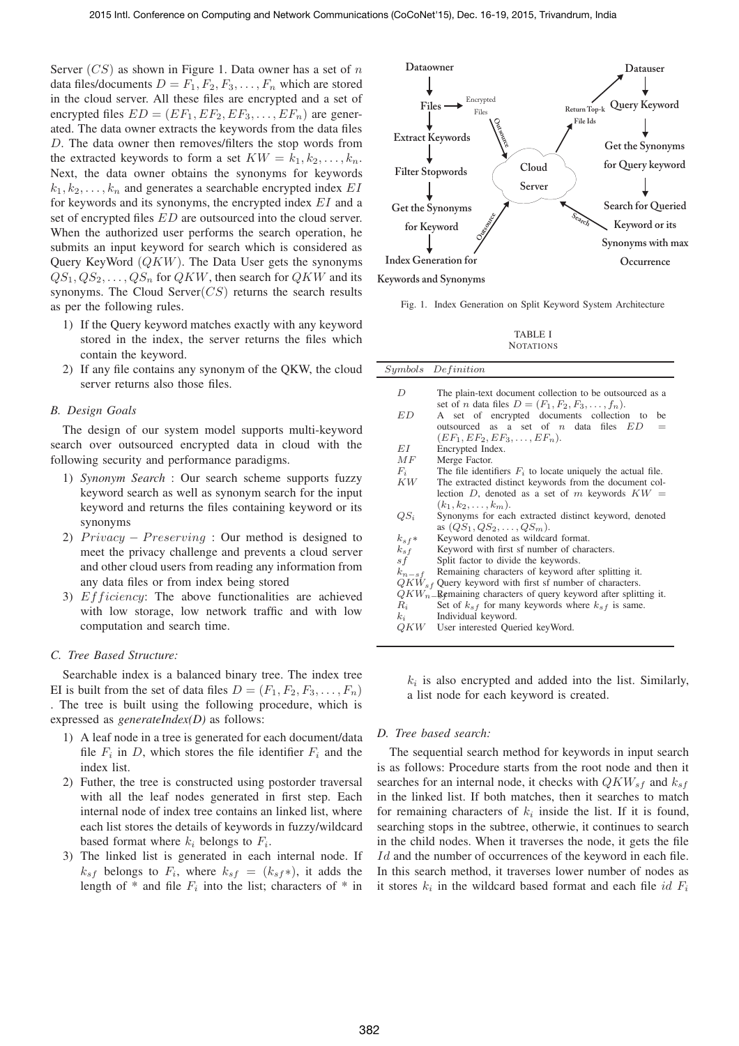Server (*CS*) as shown in Figure 1. Data owner has a set of *n* data files/documents  $D = F_1, F_2, F_3, \ldots, F_n$  which are stored in the cloud server. All these files are encrypted and a set of encrypted files  $ED = (EF_1, EF_2, EF_3, \ldots, EF_n)$  are generated. The data owner extracts the keywords from the data files *D*. The data owner then removes/filters the stop words from the extracted keywords to form a set  $KW = k_1, k_2, \ldots, k_n$ . Next, the data owner obtains the synonyms for keywords  $k_1, k_2, \ldots, k_n$  and generates a searchable encrypted index *EI* for keywords and its synonyms, the encrypted index *EI* and a set of encrypted files *ED* are outsourced into the cloud server. When the authorized user performs the search operation, he submits an input keyword for search which is considered as Query KeyWord (*QKW*). The Data User gets the synonyms  $QS_1, QS_2, \ldots, QS_n$  for *QKW*, then search for *QKW* and its synonyms. The Cloud Server(*CS*) returns the search results as per the following rules.

- 1) If the Query keyword matches exactly with any keyword stored in the index, the server returns the files which contain the keyword.
- 2) If any file contains any synonym of the QKW, the cloud server returns also those files.

#### *B. Design Goals*

The design of our system model supports multi-keyword search over outsourced encrypted data in cloud with the following security and performance paradigms.

- 1) *Synonym Search* : Our search scheme supports fuzzy keyword search as well as synonym search for the input keyword and returns the files containing keyword or its synonyms
- 2) *Privacy* − *Preserving* : Our method is designed to meet the privacy challenge and prevents a cloud server and other cloud users from reading any information from any data files or from index being stored
- 3) *Eff iciency*: The above functionalities are achieved with low storage, low network traffic and with low computation and search time.

## *C. Tree Based Structure:*

Searchable index is a balanced binary tree. The index tree EI is built from the set of data files  $D = (F_1, F_2, F_3, \ldots, F_n)$ . The tree is built using the following procedure, which is expressed as *generateIndex(D)* as follows:

- 1) A leaf node in a tree is generated for each document/data file  $F_i$  in  $D$ , which stores the file identifier  $F_i$  and the index list.
- 2) Futher, the tree is constructed using postorder traversal with all the leaf nodes generated in first step. Each internal node of index tree contains an linked list, where each list stores the details of keywords in fuzzy/wildcard based format where  $k_i$  belongs to  $F_i$ .
- 3) The linked list is generated in each internal node. If  $k_{sf}$  belongs to  $F_i$ , where  $k_{sf} = (k_{sf}*)$ , it adds the length of  $*$  and file  $F_i$  into the list; characters of  $*$  in



Fig. 1. Index Generation on Split Keyword System Architecture

TABLE I **NOTATIONS** 

|             | Symbols Definition                                                                                                                                                                                              |  |  |  |
|-------------|-----------------------------------------------------------------------------------------------------------------------------------------------------------------------------------------------------------------|--|--|--|
| D           | The plain-text document collection to be outsourced as a                                                                                                                                                        |  |  |  |
| ED          | set of <i>n</i> data files $D = (F_1, F_2, F_3, \ldots, f_n)$ .<br>A set of encrypted documents collection to<br>he<br>outsourced as a set of $n$ data files $ED$<br>$=$<br>$(EF_1, EF_2, EF_3, \ldots, EF_n).$ |  |  |  |
| EΙ          | Encrypted Index.                                                                                                                                                                                                |  |  |  |
| MF          | Merge Factor.                                                                                                                                                                                                   |  |  |  |
| $F_i$       | The file identifiers $F_i$ to locate uniquely the actual file.                                                                                                                                                  |  |  |  |
| KW-         | The extracted distinct keywords from the document col-                                                                                                                                                          |  |  |  |
|             | lection D, denoted as a set of m keywords $KW =$                                                                                                                                                                |  |  |  |
|             | $(k_1, k_2, \ldots, k_m)$ .                                                                                                                                                                                     |  |  |  |
| $QS_i$      | Synonyms for each extracted distinct keyword, denoted                                                                                                                                                           |  |  |  |
|             | as $(QS_1, QS_2,,QS_m)$ .                                                                                                                                                                                       |  |  |  |
| $k_{s}$ f*  | Keyword denoted as wildcard format.                                                                                                                                                                             |  |  |  |
| $k_{sf}$    | Keyword with first sf number of characters.                                                                                                                                                                     |  |  |  |
| s f         | Split factor to divide the keywords.                                                                                                                                                                            |  |  |  |
| $k_{n-s}$ f | Remaining characters of keyword after splitting it.                                                                                                                                                             |  |  |  |
|             | $QKW_{sf}$ Query keyword with first sf number of characters.                                                                                                                                                    |  |  |  |
|             | $QKW_{n-}$ Remaining characters of query keyword after splitting it.                                                                                                                                            |  |  |  |
| $R_i$       | Set of $k_{sf}$ for many keywords where $k_{sf}$ is same.                                                                                                                                                       |  |  |  |
| $k_i$       | Individual keyword.                                                                                                                                                                                             |  |  |  |
|             | $QKW$ User interested Queried keyWord.                                                                                                                                                                          |  |  |  |
|             |                                                                                                                                                                                                                 |  |  |  |

 $k_i$  is also encrypted and added into the list. Similarly, a list node for each keyword is created.

### *D. Tree based search:*

The sequential search method for keywords in input search is as follows: Procedure starts from the root node and then it searches for an internal node, it checks with  $QKW_{sf}$  and  $k_{sf}$ in the linked list. If both matches, then it searches to match for remaining characters of  $k_i$  inside the list. If it is found, searching stops in the subtree, otherwie, it continues to search in the child nodes. When it traverses the node, it gets the file *Id* and the number of occurrences of the keyword in each file. In this search method, it traverses lower number of nodes as it stores  $k_i$  in the wildcard based format and each file *id*  $F_i$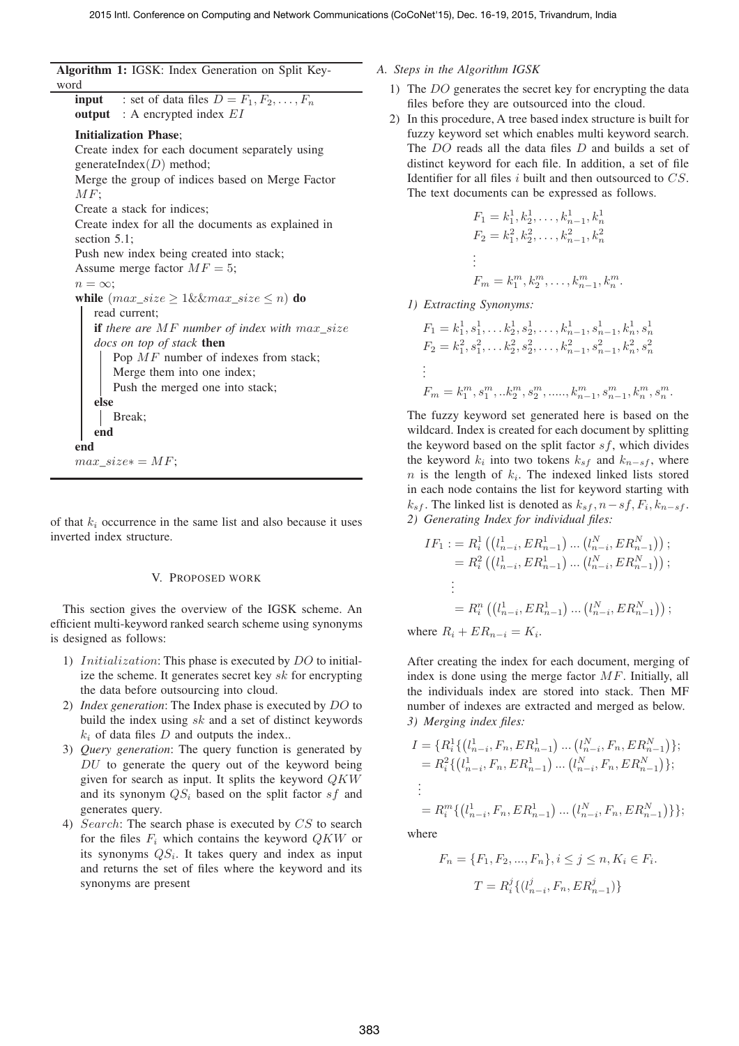**Algorithm 1:** IGSK: Index Generation on Split Keyword

**input** : set of data files  $D = F_1, F_2, \ldots, F_n$ **output** : A encrypted index *EI* **Initialization Phase**; Create index for each document separately using generateIndex(*D*) method; Merge the group of indices based on Merge Factor *MF*; Create a stack for indices; Create index for all the documents as explained in section 5.1; Push new index being created into stack; Assume merge factor  $MF = 5$ ;  $n = \infty;$ **while**  $(max\_size \geq 1 \& \& max\_size \leq n)$  **do** read current; **if** *there are MF number of index with max\_size docs on top of stack* **then** Pop *MF* number of indexes from stack; Merge them into one index; Push the merged one into stack; **else** Break; **end end**  $max\_size* = MF;$ 

of that  $k_i$  occurrence in the same list and also because it uses inverted index structure.

#### V. PROPOSED WORK

This section gives the overview of the IGSK scheme. An efficient multi-keyword ranked search scheme using synonyms is designed as follows:

- 1) *Initialization*: This phase is executed by *DO* to initialize the scheme. It generates secret key *sk* for encrypting the data before outsourcing into cloud.
- 2) *Index generation*: The Index phase is executed by *DO* to build the index using *sk* and a set of distinct keywords  $k_i$  of data files  $D$  and outputs the index..
- 3) *Query generation*: The query function is generated by *DU* to generate the query out of the keyword being given for search as input. It splits the keyword *QKW* and its synonym *QS<sup>i</sup>* based on the split factor *sf* and generates query.
- 4) *Search*: The search phase is executed by *CS* to search for the files  $F_i$  which contains the keyword  $QKW$  or its synonyms *QSi*. It takes query and index as input and returns the set of files where the keyword and its synonyms are present

## *A. Steps in the Algorithm IGSK*

- 1) The *DO* generates the secret key for encrypting the data files before they are outsourced into the cloud.
- 2) In this procedure, A tree based index structure is built for fuzzy keyword set which enables multi keyword search. The *DO* reads all the data files *D* and builds a set of distinct keyword for each file. In addition, a set of file Identifier for all files *i* built and then outsourced to *CS*. The text documents can be expressed as follows.

$$
F_1 = k_1^1, k_2^1, \dots, k_{n-1}^1, k_n^1
$$
  
\n
$$
F_2 = k_1^2, k_2^2, \dots, k_{n-1}^2, k_n^2
$$
  
\n:  
\n:  
\n
$$
F_m = k_1^m, k_2^m, \dots, k_{n-1}^m, k_n^m.
$$

*1) Extracting Synonyms:*

$$
F_1 = k_1^1, s_1^1, \dots k_2^1, s_2^1, \dots, k_{n-1}^1, s_{n-1}^1, k_n^1, s_n^1
$$
  
\n
$$
F_2 = k_1^2, s_1^2, \dots k_2^2, s_2^2, \dots, k_{n-1}^2, s_{n-1}^2, k_n^2, s_n^2
$$
  
\n:  
\n:  
\n
$$
F_m = k_1^m, s_1^m, \dots k_2^m, s_2^m, \dots, k_{n-1}^m, s_{n-1}^m, k_n^m, s_n^m.
$$

The fuzzy keyword set generated here is based on the wildcard. Index is created for each document by splitting the keyword based on the split factor *sf*, which divides the keyword  $k_i$  into two tokens  $k_{sf}$  and  $k_{n-s}$ , where  $n$  is the length of  $k_i$ . The indexed linked lists stored in each node contains the list for keyword starting with  $k_{sf}$ . The linked list is denoted as  $k_{sf}$ ,  $n - sf$ ,  $F_i$ ,  $k_{n - sf}$ . *2) Generating Index for individual files:*

$$
IF_1 := R_i^1 \left( (l_{n-i}^1, ER_{n-1}^1) \dots (l_{n-i}^N, ER_{n-1}^N) \right);
$$
  
=  $R_i^2 \left( (l_{n-i}^1, ER_{n-1}^1) \dots (l_{n-i}^N, ER_{n-1}^N) \right);$   
:  
=  $R_i^n \left( (l_{n-i}^1, ER_{n-1}^1) \dots (l_{n-i}^N, ER_{n-1}^N) \right);$ 

where  $R_i + ER_{n-i} = K_i$ .

After creating the index for each document, merging of index is done using the merge factor *MF*. Initially, all the individuals index are stored into stack. Then MF number of indexes are extracted and merged as below. *3) Merging index files:*

$$
I = \{ R_i^1 \{ (l_{n-i}^1, F_n, ER_{n-1}^1) \dots (l_{n-i}^N, F_n, ER_{n-1}^N) \};
$$
  
=  $R_i^2 \{ (l_{n-i}^1, F_n, ER_{n-1}^1) \dots (l_{n-i}^N, F_n, ER_{n-1}^N) \};$   
:  
=  $R_i^m \{ (l_{n-i}^1, F_n, ER_{n-1}^1) \dots (l_{n-i}^N, F_n, ER_{n-1}^N) \} \};$ 

where

$$
F_n = \{F_1, F_2, ..., F_n\}, i \le j \le n, K_i \in F_i.
$$
  

$$
T = R_i^j \{ (l_{n-i}^j, F_n, ER_{n-1}^j) \}
$$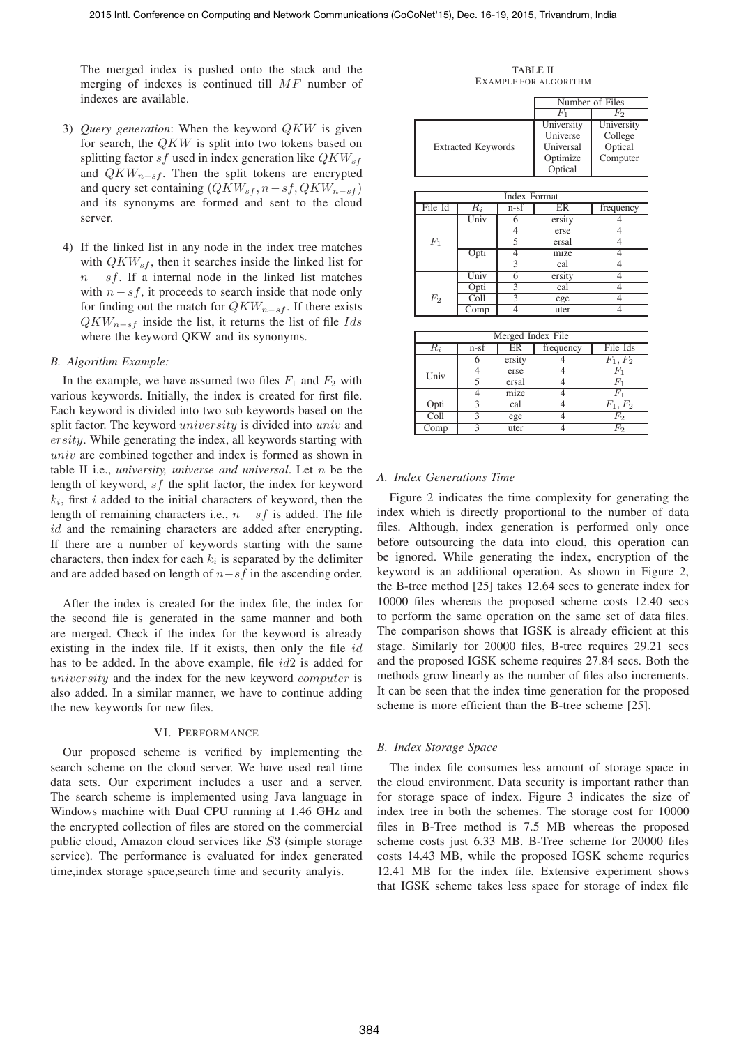The merged index is pushed onto the stack and the merging of indexes is continued till *MF* number of indexes are available.

- 3) *Query generation*: When the keyword *QKW* is given for search, the *QKW* is split into two tokens based on splitting factor *sf* used in index generation like *QKWsf* and *QKW<sub>n−sf</sub>*. Then the split tokens are encrypted and query set containing  $(QKW<sub>s f</sub>, n - sf, QKW<sub>n-s f</sub>)$ and its synonyms are formed and sent to the cloud server.
- 4) If the linked list in any node in the index tree matches with  $QKW_{sf}$ , then it searches inside the linked list for *n* − *sf*. If a internal node in the linked list matches with  $n - sf$ , it proceeds to search inside that node only for finding out the match for *QKW<sup>n</sup>−sf* . If there exists *QKW<sup>n</sup>−sf* inside the list, it returns the list of file *Ids* where the keyword QKW and its synonyms.

#### *B. Algorithm Example:*

In the example, we have assumed two files  $F_1$  and  $F_2$  with various keywords. Initially, the index is created for first file. Each keyword is divided into two sub keywords based on the split factor. The keyword *university* is divided into *univ* and *ersity*. While generating the index, all keywords starting with *univ* are combined together and index is formed as shown in table II i.e., *university, universe and universal*. Let *n* be the length of keyword, *sf* the split factor, the index for keyword  $k_i$ , first *i* added to the initial characters of keyword, then the length of remaining characters i.e.,  $n - sf$  is added. The file *id* and the remaining characters are added after encrypting. If there are a number of keywords starting with the same characters, then index for each  $k_i$  is separated by the delimiter and are added based on length of *n*−*sf* in the ascending order.

After the index is created for the index file, the index for the second file is generated in the same manner and both are merged. Check if the index for the keyword is already existing in the index file. If it exists, then only the file *id* has to be added. In the above example, file *id*2 is added for *university* and the index for the new keyword *computer* is also added. In a similar manner, we have to continue adding the new keywords for new files.

#### VI. PERFORMANCE

Our proposed scheme is verified by implementing the search scheme on the cloud server. We have used real time data sets. Our experiment includes a user and a server. The search scheme is implemented using Java language in Windows machine with Dual CPU running at 1.46 GHz and the encrypted collection of files are stored on the commercial public cloud, Amazon cloud services like *S*3 (simple storage service). The performance is evaluated for index generated time,index storage space,search time and security analyis.

TABLE II EXAMPLE FOR ALGORITHM

|                     |                           |                |                | Number of Files |  |  |
|---------------------|---------------------------|----------------|----------------|-----------------|--|--|
|                     |                           |                | $F_{1}$        | $F_2$           |  |  |
|                     |                           |                | University     | University      |  |  |
|                     |                           |                | Universe       | College         |  |  |
|                     | <b>Extracted Keywords</b> |                | Universal      | Optical         |  |  |
|                     |                           |                | Optimize       | Computer        |  |  |
|                     |                           |                | Optical        |                 |  |  |
|                     |                           |                |                |                 |  |  |
| <b>Index Format</b> |                           |                |                |                 |  |  |
| File Id             | $R_i$                     | $n-s$          | ER             | frequency       |  |  |
| $F_1$               | Univ                      | 6              | ersity         | 4               |  |  |
|                     |                           | $\overline{4}$ | erse           | $\overline{4}$  |  |  |
|                     |                           | 5              | ersal          | 4               |  |  |
|                     | Opti                      | 4              | mize           | 4               |  |  |
|                     |                           | 3              | cal            | $\overline{4}$  |  |  |
| F <sub>2</sub>      | Univ                      | 6              | ersity         | 4               |  |  |
|                     | Opti                      | 3              | cal            | 4               |  |  |
|                     | Coll                      | 3              | ege            | 4               |  |  |
|                     | $\overline{\text{Comp}}$  | 4              | uter           | 4               |  |  |
|                     |                           |                |                |                 |  |  |
| Merged Index File   |                           |                |                |                 |  |  |
| $R_i$               | n-sf                      | ER             | frequency      | File Ids        |  |  |
| Univ                | 6                         | ersity         | 4              | $F_1, F_2$      |  |  |
|                     | 4                         | erse           | 4              | $F_1$           |  |  |
|                     | 5                         | ersal          | $\overline{4}$ | $\mathcal{F}_1$ |  |  |
|                     | 4                         | mize           | $\overline{4}$ | $F_1$           |  |  |
| Opti                | 3                         | cal            | 4              | $F_1, F_2$      |  |  |

Coll  $\begin{array}{cccc} 3 & \text{ege} & 4 & F_2 \end{array}$ 

Comp 3 uter 4

#### *A. Index Generations Time*

Figure 2 indicates the time complexity for generating the index which is directly proportional to the number of data files. Although, index generation is performed only once before outsourcing the data into cloud, this operation can be ignored. While generating the index, encryption of the keyword is an additional operation. As shown in Figure 2, the B-tree method [25] takes 12.64 secs to generate index for 10000 files whereas the proposed scheme costs 12.40 secs to perform the same operation on the same set of data files. The comparison shows that IGSK is already efficient at this stage. Similarly for 20000 files, B-tree requires 29.21 secs and the proposed IGSK scheme requires 27.84 secs. Both the methods grow linearly as the number of files also increments. It can be seen that the index time generation for the proposed scheme is more efficient than the B-tree scheme [25].

#### *B. Index Storage Space*

The index file consumes less amount of storage space in the cloud environment. Data security is important rather than for storage space of index. Figure 3 indicates the size of index tree in both the schemes. The storage cost for 10000 files in B-Tree method is 7.5 MB whereas the proposed scheme costs just 6.33 MB. B-Tree scheme for 20000 files costs 14.43 MB, while the proposed IGSK scheme requries 12.41 MB for the index file. Extensive experiment shows that IGSK scheme takes less space for storage of index file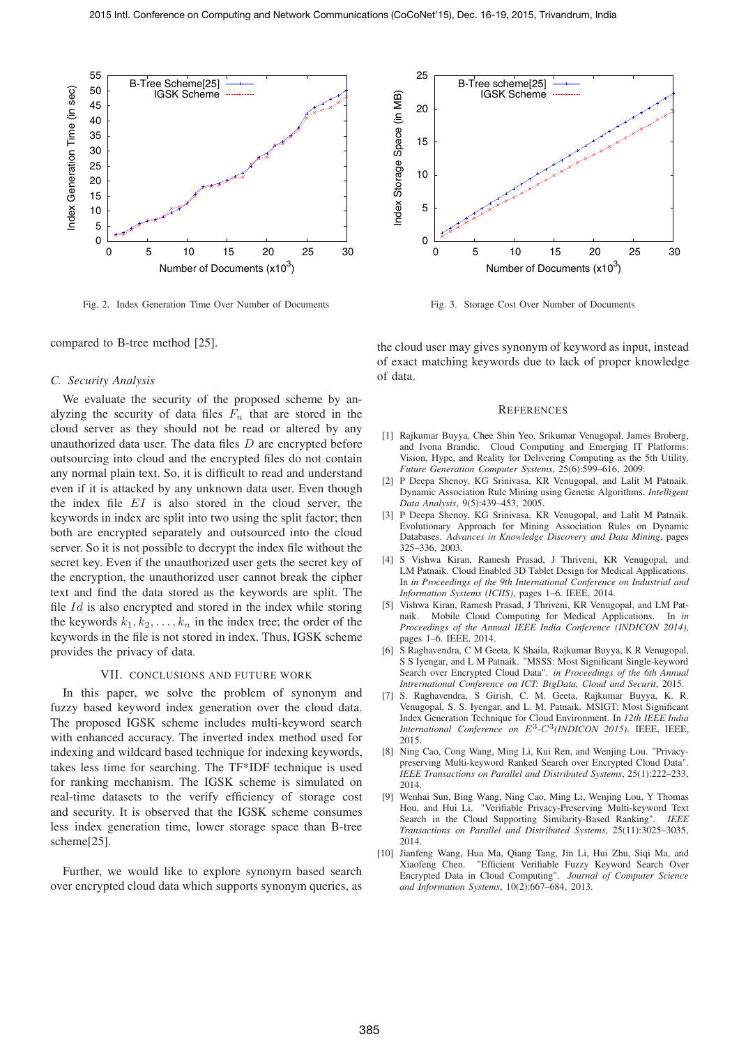

Fig. 2. Index Generation Time Over Number of Documents



Fig. 3. Storage Cost Over Number of Documents

compared to B-tree method [25].

### *C. Security Analysis*

We evaluate the security of the proposed scheme by analyzing the security of data files  $F<sub>n</sub>$  that are stored in the cloud server as they should not be read or altered by any unauthorized data user. The data files *D* are encrypted before outsourcing into cloud and the encrypted files do not contain any normal plain text. So, it is difficult to read and understand even if it is attacked by any unknown data user. Even though the index file *EI* is also stored in the cloud server, the keywords in index are split into two using the split factor; then both are encrypted separately and outsourced into the cloud server. So it is not possible to decrypt the index file without the secret key. Even if the unauthorized user gets the secret key of the encryption, the unauthorized user cannot break the cipher text and find the data stored as the keywords are split. The file *Id* is also encrypted and stored in the index while storing the keywords  $k_1, k_2, \ldots, k_n$  in the index tree; the order of the keywords in the file is not stored in index. Thus, IGSK scheme provides the privacy of data.

## VII. CONCLUSIONS AND FUTURE WORK

In this paper, we solve the problem of synonym and fuzzy based keyword index generation over the cloud data. The proposed IGSK scheme includes multi-keyword search with enhanced accuracy. The inverted index method used for indexing and wildcard based technique for indexing keywords, takes less time for searching. The TF\*IDF technique is used for ranking mechanism. The IGSK scheme is simulated on real-time datasets to the verify efficiency of storage cost and security. It is observed that the IGSK scheme consumes less index generation time, lower storage space than B-tree scheme[25].

Further, we would like to explore synonym based search over encrypted cloud data which supports synonym queries, as the cloud user may gives synonym of keyword as input, instead of exact matching keywords due to lack of proper knowledge of data.

#### **REFERENCES**

- [1] Rajkumar Buyya, Chee Shin Yeo, Srikumar Venugopal, James Broberg, and Ivona Brandic. Cloud Computing and Emerging IT Platforms: Vision, Hype, and Reality for Delivering Computing as the 5th Utility. *Future Generation Computer Systems*, 25(6):599–616, 2009.
- [2] P Deepa Shenoy, KG Srinivasa, KR Venugopal, and Lalit M Patnaik. Dynamic Association Rule Mining using Genetic Algorithms. *Intelligent Data Analysis*, 9(5):439–453, 2005.
- [3] P Deepa Shenoy, KG Srinivasa, KR Venugopal, and Lalit M Patnaik. Evolutionary Approach for Mining Association Rules on Dynamic Databases. *Advances in Knowledge Discovery and Data Mining*, pages 325–336, 2003.
- [4] S Vishwa Kiran, Ramesh Prasad, J Thriveni, KR Venugopal, and LM Patnaik. Cloud Enabled 3D Tablet Design for Medical Applications. In *in Proceedings of the 9th International Conference on Industrial and Information Systems (ICIIS)*, pages 1–6. IEEE, 2014.
- [5] Vishwa Kiran, Ramesh Prasad, J Thriveni, KR Venugopal, and LM Patnaik. Mobile Cloud Computing for Medical Applications. In *in Proceedings of the Annual IEEE India Conference (INDICON 2014)*, pages 1–6. IEEE, 2014.
- [6] S Raghavendra, C M Geeta, K Shaila, Rajkumar Buyya, K R Venugopal, S S Iyengar, and L M Patnaik. "MSSS: Most Significant Single-keyword Search over Encrypted Cloud Data". *in Proceedings of the 6th Annual Intrernational Conference on ICT: BigData, Cloud and Securit*, 2015.
- [7] S. Raghavendra, S Girish, C. M. Geeta, Rajkumar Buyya, K. R. Venugopal, S. S. Iyengar, and L. M. Patnaik. MSIGT: Most Significant Index Generation Technique for Cloud Environment. In *12th IEEE India International Conference on E*3*-C*3*(INDICON 2015)*. IEEE, IEEE, 2015.
- [8] Ning Cao, Cong Wang, Ming Li, Kui Ren, and Wenjing Lou. "Privacypreserving Multi-keyword Ranked Search over Encrypted Cloud Data". *IEEE Transactions on Parallel and Distributed Systems*, 25(1):222–233, 2014.
- [9] Wenhai Sun, Bing Wang, Ning Cao, Ming Li, Wenjing Lou, Y Thomas Hou, and Hui Li. "Verifiable Privacy-Preserving Multi-keyword Text Search in the Cloud Supporting Similarity-Based Ranking". *IEEE Transactions on Parallel and Distributed Systems*, 25(11):3025–3035, 2014.
- [10] Jianfeng Wang, Hua Ma, Qiang Tang, Jin Li, Hui Zhu, Siqi Ma, and Xiaofeng Chen. "Efficient Verifiable Fuzzy Keyword Search Over Encrypted Data in Cloud Computing". *Journal of Computer Science and Information Systems*, 10(2):667–684, 2013.